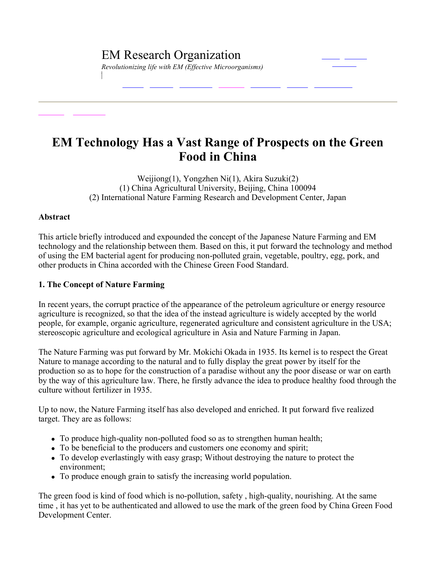# **EM Technology Has a Vast Range of Prospects on the Green Food in China**

Weijiong(1), Yongzhen Ni(1), Akira Suzuki(2) (1) China Agricultural University, Beijing, China 100094 (2) International Nature Farming Research and Development Center, Japan

#### **Abstract**

This article briefly introduced and expounded the concept of the Japanese Nature Farming and EM technology and the relationship between them. Based on this, it put forward the technology and method of using the EM bacterial agent for producing non-polluted grain, vegetable, poultry, egg, pork, and other products in China accorded with the Chinese Green Food Standard.

## **1. The Concept of Nature Farming**

In recent years, the corrupt practice of the appearance of the petroleum agriculture or energy resource agriculture is recognized, so that the idea of the instead agriculture is widely accepted by the world people, for example, organic agriculture, regenerated agriculture and consistent agriculture in the USA; stereoscopic agriculture and ecological agriculture in Asia and Nature Farming in Japan.

The Nature Farming was put forward by Mr. Mokichi Okada in 1935. Its kernel is to respect the Great Nature to manage according to the natural and to fully display the great power by itself for the production so as to hope for the construction of a paradise without any the poor disease or war on earth by the way of this agriculture law. There, he firstly advance the idea to produce healthy food through the culture without fertilizer in 1935.

Up to now, the Nature Farming itself has also developed and enriched. It put forward five realized target. They are as follows:

- $\bullet$  To produce high-quality non-polluted food so as to strengthen human health;
- To be beneficial to the producers and customers one economy and spirit;
- To develop everlastingly with easy grasp; Without destroying the nature to protect the environment;
- To produce enough grain to satisfy the increasing world population.

The green food is kind of food which is no-pollution, safety, high-quality, nourishing. At the same time , it has yet to be authenticated and allowed to use the mark of the green food by China Green Food Development Center.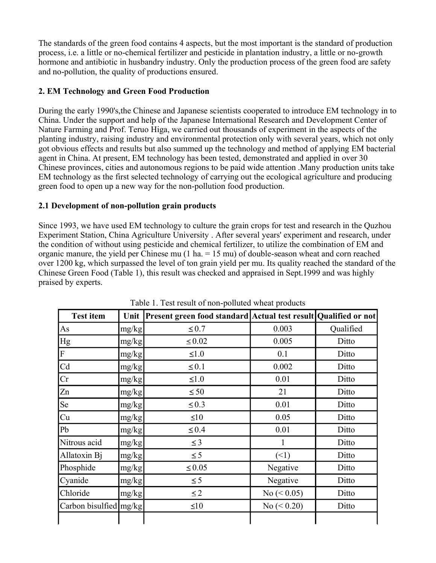The standards of the green food contains 4 aspects, but the most important is the standard of production process, i.e. a little or no-chemical fertilizer and pesticide in plantation industry, a little or no-growth hormone and antibiotic in husbandry industry. Only the production process of the green food are safety and no-pollution, the quality of productions ensured.

## **2. EM Technology and Green Food Production**

During the early 1990's,the Chinese and Japanese scientists cooperated to introduce EM technology in to China. Under the support and help of the Japanese International Research and Development Center of Nature Farming and Prof. Teruo Higa, we carried out thousands of experiment in the aspects of the planting industry, raising industry and environmental protection only with several years, which not only got obvious effects and results but also summed up the technology and method of applying EM bacterial agent in China. At present, EM technology has been tested, demonstrated and applied in over 30 Chinese provinces, cities and autonomous regions to be paid wide attention .Many production units take EM technology as the first selected technology of carrying out the ecological agriculture and producing green food to open up a new way for the non-pollution food production.

#### **2.1 Development of non-pollution grain products**

Since 1993, we have used EM technology to culture the grain crops for test and research in the Quzhou Experiment Station, China Agriculture University . After several years' experiment and research, under the condition of without using pesticide and chemical fertilizer, to utilize the combination of EM and organic manure, the yield per Chinese mu  $(1 \text{ ha.} = 15 \text{ mu})$  of double-season wheat and corn reached over 1200 kg, which surpassed the level of ton grain yield per mu. Its quality reached the standard of the Chinese Green Food (Table 1), this result was checked and appraised in Sept.1999 and was highly praised by experts.

| Unit |                                                                                                 |                                                   |                                                                 |
|------|-------------------------------------------------------------------------------------------------|---------------------------------------------------|-----------------------------------------------------------------|
|      | $\leq 0.7$                                                                                      | 0.003                                             | Qualified                                                       |
|      | $\leq 0.02$                                                                                     | 0.005                                             | Ditto                                                           |
|      | $\leq 1.0$                                                                                      | 0.1                                               | Ditto                                                           |
|      | $\leq 0.1$                                                                                      | 0.002                                             | Ditto                                                           |
|      | $\leq 1.0$                                                                                      | 0.01                                              | Ditto                                                           |
|      | $\leq 50$                                                                                       | 21                                                | Ditto                                                           |
|      | $\leq 0.3$                                                                                      | 0.01                                              | Ditto                                                           |
|      | $\leq 10$                                                                                       | 0.05                                              | Ditto                                                           |
|      | $\leq 0.4$                                                                                      | 0.01                                              | Ditto                                                           |
|      | $\leq$ 3                                                                                        | 1                                                 | Ditto                                                           |
|      | $\leq$ 5                                                                                        | $(\leq 1)$                                        | Ditto                                                           |
|      | $\leq 0.05$                                                                                     | Negative                                          | Ditto                                                           |
|      | $\leq$ 5                                                                                        | Negative                                          | Ditto                                                           |
|      | $\leq$ 2                                                                                        | No $(< 0.05)$                                     | Ditto                                                           |
|      | $\leq 10$                                                                                       | No (< 0.20)                                       | Ditto                                                           |
|      | mg/kg<br>mg/kg<br>mg/kg<br>mg/kg<br>mg/kg<br>mg/kg<br>mg/kg<br>mg/kg<br>mg/kg<br>mg/kg<br>mg/kg | mg/kg<br>mg/kg<br>mg/kg<br>Carbon bisulfied mg/kg | Present green food standard Actual test result Qualified or not |

Table 1. Test result of non-polluted wheat products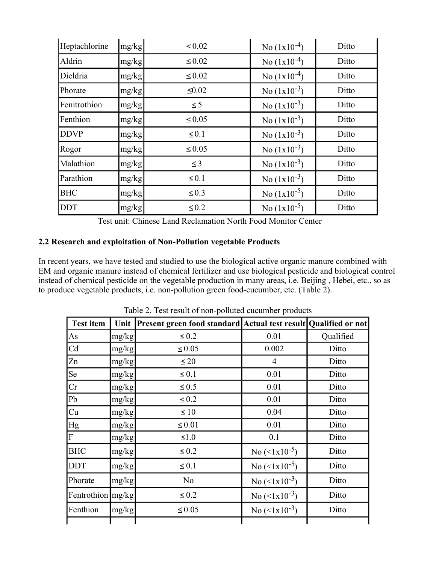| Heptachlorine | mg/kg | $\leq 0.02$ | No $(1x10^{-4})$ | Ditto |
|---------------|-------|-------------|------------------|-------|
| Aldrin        | mg/kg | $\leq 0.02$ | No $(1x10^{-4})$ | Ditto |
| Dieldria      | mg/kg | $\leq 0.02$ | No $(1x10^{-4})$ | Ditto |
| Phorate       | mg/kg | $\leq 0.02$ | No $(1x10^{-3})$ | Ditto |
| Fenitrothion  | mg/kg | $\leq$ 5    | No $(1x10^{-3})$ | Ditto |
| Fenthion      | mg/kg | $\leq 0.05$ | No $(1x10^{-3})$ | Ditto |
| <b>DDVP</b>   | mg/kg | $\leq 0.1$  | No $(1x10^{-3})$ | Ditto |
| Rogor         | mg/kg | $\leq 0.05$ | No $(1x10^{-3})$ | Ditto |
| Malathion     | mg/kg | $\leq$ 3    | No $(1x10^{-3})$ | Ditto |
| Parathion     | mg/kg | $\leq 0.1$  | No $(1x10^{-3})$ | Ditto |
| <b>BHC</b>    | mg/kg | $\leq 0.3$  | No $(1x10^{-5})$ | Ditto |
| <b>DDT</b>    | mg/kg | $\leq 0.2$  | No $(1x10^{-5})$ | Ditto |

Test unit: Chinese Land Reclamation North Food Monitor Center

### **2.2 Research and exploitation of Non-Pollution vegetable Products**

In recent years, we have tested and studied to use the biological active organic manure combined with EM and organic manure instead of chemical fertilizer and use biological pesticide and biological control instead of chemical pesticide on the vegetable production in many areas, i.e. Beijing , Hebei, etc., so as to produce vegetable products, i.e. non-pollution green food-cucumber, etc. (Table 2).

| <b>Test item</b>  | Unit  | Present green food standard Actual test result Qualified or not |                   |           |
|-------------------|-------|-----------------------------------------------------------------|-------------------|-----------|
| As                | mg/kg | $\leq 0.2$                                                      | 0.01              | Qualified |
| Cd                | mg/kg | $\leq 0.05$                                                     | 0.002             | Ditto     |
| Zn                | mg/kg | $\leq 20$                                                       | $\overline{4}$    | Ditto     |
| <sub>Se</sub>     | mg/kg | $\leq 0.1$                                                      | 0.01              | Ditto     |
| Cr                | mg/kg | $\leq 0.5$                                                      | 0.01              | Ditto     |
| Pb                | mg/kg | $\leq 0.2$                                                      | 0.01              | Ditto     |
| Cu                | mg/kg | $\leq 10$                                                       | 0.04              | Ditto     |
| Hg                | mg/kg | $\leq 0.01$                                                     | 0.01              | Ditto     |
| ${\bf F}$         | mg/kg | $\leq 1.0$                                                      | 0.1               | Ditto     |
| <b>BHC</b>        | mg/kg | $\leq 0.2$                                                      | No $(<1x10^{-5})$ | Ditto     |
| <b>DDT</b>        | mg/kg | $\leq 0.1$                                                      | No $(<1x10^{-5})$ | Ditto     |
| Phorate           | mg/kg | N <sub>0</sub>                                                  | No $(<1x10^{-3})$ | Ditto     |
| Fentrothion mg/kg |       | $\leq 0.2$                                                      | No $(<1x10^{-3})$ | Ditto     |
| Fenthion          | mg/kg | $\leq 0.05$                                                     | No $(<1x10^{-3})$ | Ditto     |
|                   |       |                                                                 |                   |           |

Table 2. Test result of non-polluted cucumber products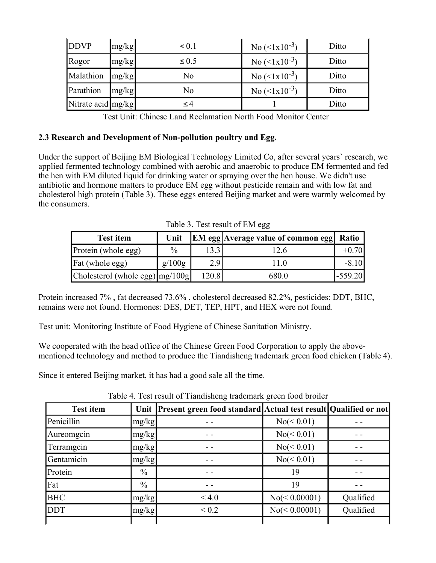| <b>DDVP</b>          | mg/kg | $\leq 0.1$ | No $(<1x10^{-3})$ | Ditto |
|----------------------|-------|------------|-------------------|-------|
| Rogor                | mg/kg | $\leq 0.5$ | No $(<1x10^{-3})$ | Ditto |
| Malathion            | mg/kg | No         | No $(<1x10^{-3})$ | Ditto |
| Parathion            | mg/kg | No         | No $(<1x10^{-3})$ | Ditto |
| Nitrate acid $mg/kg$ |       | $\leq 4$   |                   | Ditto |

Test Unit: Chinese Land Reclamation North Food Monitor Center

#### **2.3 Research and Development of Non-pollution poultry and Egg.**

Under the support of Beijing EM Biological Technology Limited Co, after several years` research, we applied fermented technology combined with aerobic and anaerobic to produce EM fermented and fed the hen with EM diluted liquid for drinking water or spraying over the hen house. We didn't use antibiotic and hormone matters to produce EM egg without pesticide remain and with low fat and cholesterol high protein (Table 3). These eggs entered Beijing market and were warmly welcomed by the consumers.

Table 3. Test result of EM egg

| Test item                         | Unit          |        | <b>EM</b> egg Average value of common egg | Ratio     |
|-----------------------------------|---------------|--------|-------------------------------------------|-----------|
| Protein (whole egg)               | $\frac{0}{0}$ | 13.3   | 12.6                                      | $+0.70$   |
| [Fact (whole egg)                 | g/100g        | 2.9    | 110                                       | $-8.10$   |
| Cholesterol (whole egg)   mg/100g |               | 120.8I | 680.0                                     | $-559.20$ |

Protein increased 7% , fat decreased 73.6% , cholesterol decreased 82.2%, pesticides: DDT, BHC, remains were not found. Hormones: DES, DET, TEP, HPT, and HEX were not found.

Test unit: Monitoring Institute of Food Hygiene of Chinese Sanitation Ministry.

We cooperated with the head office of the Chinese Green Food Corporation to apply the above mentioned technology and method to produce the Tiandisheng trademark green food chicken (Table 4).

Since it entered Beijing market, it has had a good sale all the time.

| <b>Test item</b> |       | Unit Present green food standard Actual test result Qualified or not |               |           |
|------------------|-------|----------------------------------------------------------------------|---------------|-----------|
| Penicillin       | mg/kg |                                                                      | No(< 0.01)    |           |
| Aureomgcin       | mg/kg |                                                                      | No(< 0.01)    |           |
| Terramgcin       | mg/kg |                                                                      | No(< 0.01)    |           |
| Gentamicin       | mg/kg |                                                                      | No(< 0.01)    |           |
| Protein          | $\%$  |                                                                      | 19            |           |
| Fat              | $\%$  |                                                                      | 19            |           |
| <b>BHC</b>       | mg/kg | < 4.0                                                                | No(< 0.00001) | Qualified |
| <b>DDT</b>       | mg/kg | ${}_{0.2}$                                                           | No(< 0.00001) | Qualified |
|                  |       |                                                                      |               |           |

Table 4. Test result of Tiandisheng trademark green food broiler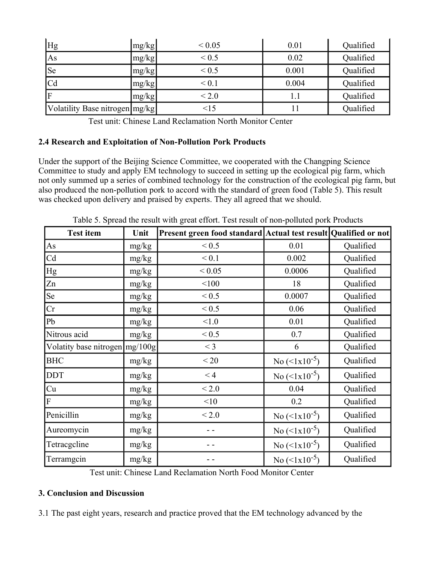| Hg                               | mg/kg | ${}< 0.05$   | 0.01  | Qualified |
|----------------------------------|-------|--------------|-------|-----------|
| As                               | mg/kg | ${}_{0.5}$   | 0.02  | Qualified |
| <sub>Se</sub>                    | mg/kg | ${}_{0.5}$   | 0.001 | Qualified |
| <sub>Cd</sub>                    | mg/kg | ${}_{0.1}$   | 0.004 | Qualified |
| F                                | mg/kg | ${}_{< 2.0}$ | l.l   | Qualified |
| Volatility Base nitrogen   mg/kg |       | $<$ 15       |       | Qualified |

Test unit: Chinese Land Reclamation North Monitor Center

### **2.4 Research and Exploitation of Non-Pollution Pork Products**

Under the support of the Beijing Science Committee, we cooperated with the Changping Science Committee to study and apply EM technology to succeed in setting up the ecological pig farm, which not only summed up a series of combined technology for the construction of the ecological pig farm, but also produced the non-pollution pork to accord with the standard of green food (Table 5). This result was checked upon delivery and praised by experts. They all agreed that we should.

| <b>Test item</b>               | Unit  | Present green food standard Actual test result Qualified or not |                       |           |
|--------------------------------|-------|-----------------------------------------------------------------|-----------------------|-----------|
| As                             | mg/kg | ${}_{0.5}$                                                      | 0.01                  | Qualified |
| $ _{\mathrm{Cd}}$              | mg/kg | < 0.1                                                           | 0.002                 | Qualified |
| Hg                             | mg/kg | ${}_{0.05}$                                                     | 0.0006                | Qualified |
| $ Z_{n} $                      | mg/kg | < 100                                                           | 18                    | Qualified |
| <sub>Se</sub>                  | mg/kg | ${}_{0.5}$                                                      | 0.0007                | Qualified |
| Cr                             | mg/kg | ${}_{< 0.5}$                                                    | 0.06                  | Qualified |
| Pb                             | mg/kg | < 1.0                                                           | 0.01                  | Qualified |
| Nitrous acid                   | mg/kg | ${}_{< 0.5}$                                                    | 0.7                   | Qualified |
| Volatity base nitrogen mg/100g |       | $<$ 3                                                           | 6                     | Qualified |
| <b>BHC</b>                     | mg/kg | < 20                                                            | No $(<1x10^{-5})$     | Qualified |
| <b>DDT</b>                     | mg/kg | < 4                                                             | No $($ < $1x10^{-5})$ | Qualified |
| Cu                             | mg/kg | ${}_{< 2.0}$                                                    | 0.04                  | Qualified |
| $\vert$ F                      | mg/kg | <10                                                             | 0.2                   | Qualified |
| Penicillin                     | mg/kg | < 2.0                                                           | No $($ Ix $10^{-5})$  | Qualified |
| Aureomycin                     | mg/kg |                                                                 | No $(<1x10^{-5})$     | Qualified |
| Tetracgcline                   | mg/kg |                                                                 | No $($ Ix $10^{-5})$  | Qualified |
| Terramgcin                     | mg/kg |                                                                 | No $($ Ix $10^{-5})$  | Qualified |

Table 5. Spread the result with great effort. Test result of non-polluted pork Products

Test unit: Chinese Land Reclamation North Food Monitor Center

## **3. Conclusion and Discussion**

3.1 The past eight years, research and practice proved that the EM technology advanced by the